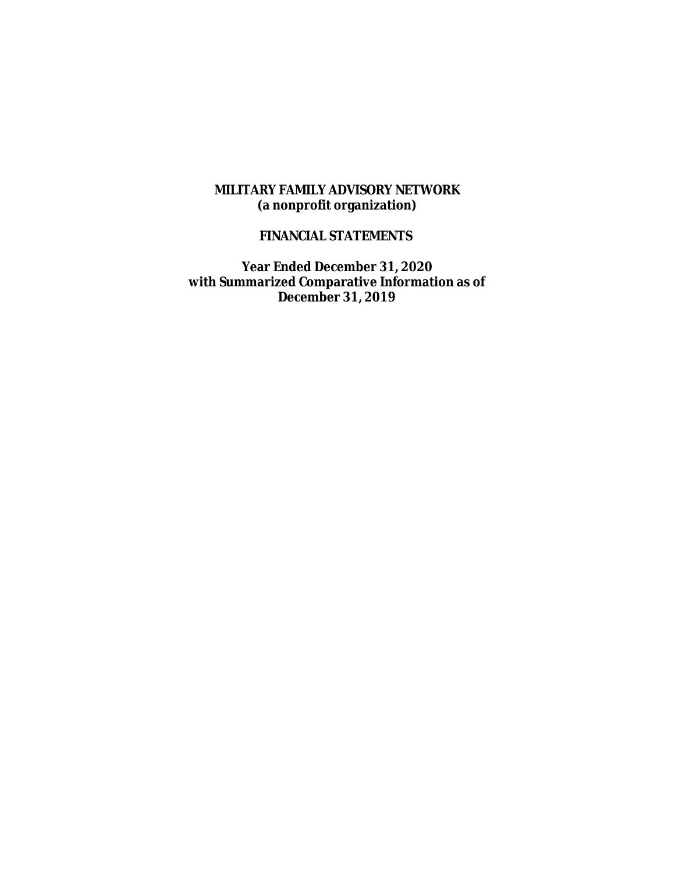# **MILITARY FAMILY ADVISORY NETWORK (a nonprofit organization)**

# **FINANCIAL STATEMENTS**

**December 31, 2019 Year Ended December 31, 2020 with Summarized Comparative Information as of**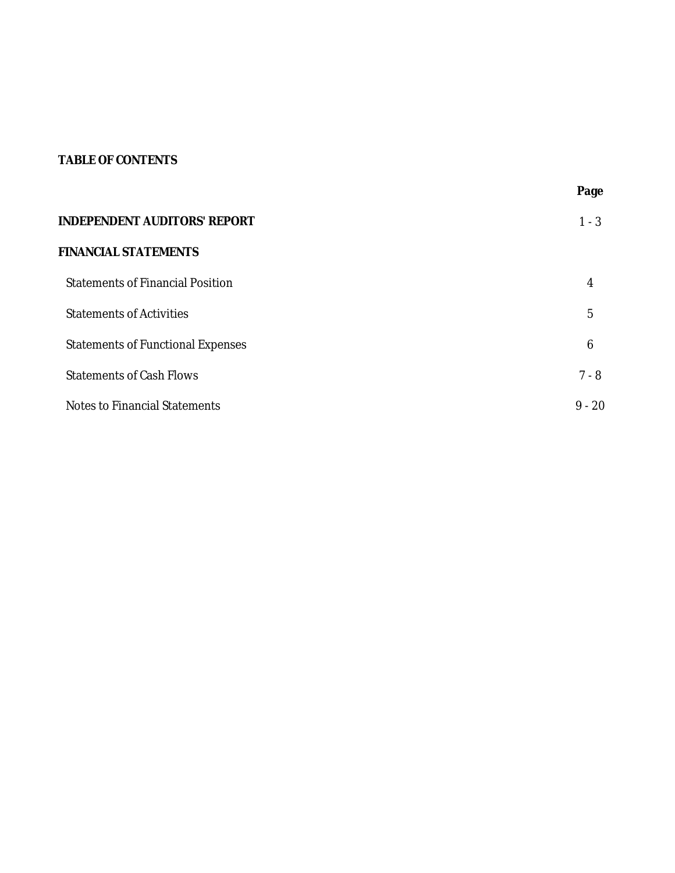# **TABLE OF CONTENTS**

|                                          | Page     |
|------------------------------------------|----------|
| <b>INDEPENDENT AUDITORS' REPORT</b>      | $1 - 3$  |
| <b>FINANCIAL STATEMENTS</b>              |          |
| <b>Statements of Financial Position</b>  | 4        |
| <b>Statements of Activities</b>          | 5        |
| <b>Statements of Functional Expenses</b> | 6        |
| <b>Statements of Cash Flows</b>          | $7 - 8$  |
| Notes to Financial Statements            | $9 - 20$ |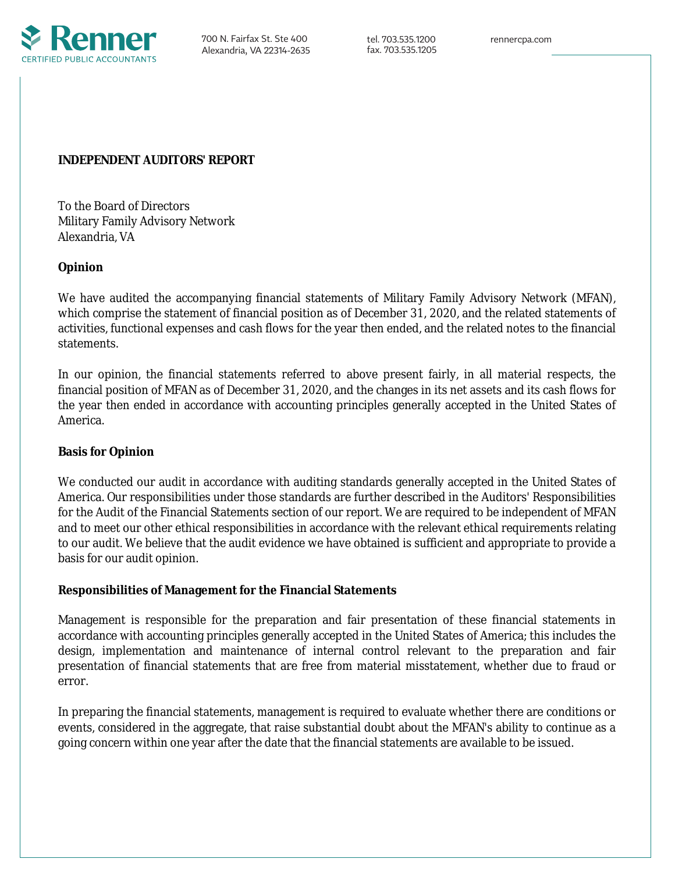

# **INDEPENDENT AUDITORS' REPORT**

To the Board of Directors Military Family Advisory Network Alexandria, VA

#### **Opinion**

We have audited the accompanying financial statements of Military Family Advisory Network (MFAN), which comprise the statement of financial position as of December 31, 2020, and the related statements of activities, functional expenses and cash flows for the year then ended, and the related notes to the financial statements.

In our opinion, the financial statements referred to above present fairly, in all material respects, the financial position of MFAN as of December 31, 2020, and the changes in its net assets and its cash flows for the year then ended in accordance with accounting principles generally accepted in the United States of America.

#### **Basis for Opinion**

We conducted our audit in accordance with auditing standards generally accepted in the United States of America. Our responsibilities under those standards are further described in the Auditors' Responsibilities for the Audit of the Financial Statements section of our report. We are required to be independent of MFAN and to meet our other ethical responsibilities in accordance with the relevant ethical requirements relating to our audit. We believe that the audit evidence we have obtained is sufficient and appropriate to provide a basis for our audit opinion.

#### **Responsibilities of Management for the Financial Statements**

Management is responsible for the preparation and fair presentation of these financial statements in accordance with accounting principles generally accepted in the United States of America; this includes the design, implementation and maintenance of internal control relevant to the preparation and fair presentation of financial statements that are free from material misstatement, whether due to fraud or error.

In preparing the financial statements, management is required to evaluate whether there are conditions or events, considered in the aggregate, that raise substantial doubt about the MFAN's ability to continue as a going concern within one year after the date that the financial statements are available to be issued.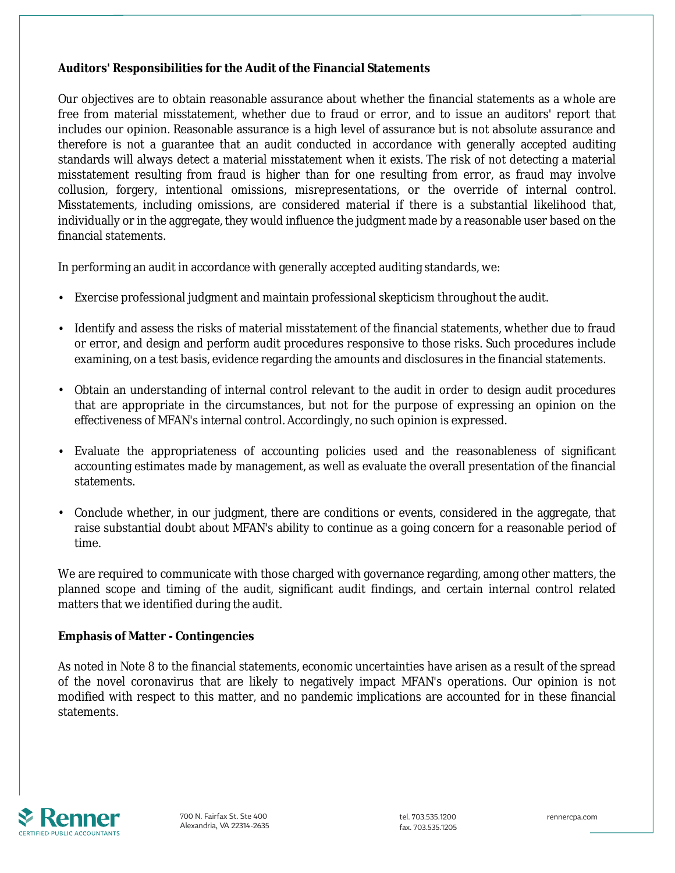# **Auditors' Responsibilities for the Audit of the Financial Statements**

Our objectives are to obtain reasonable assurance about whether the financial statements as a whole are free from material misstatement, whether due to fraud or error, and to issue an auditors' report that includes our opinion. Reasonable assurance is a high level of assurance but is not absolute assurance and therefore is not a guarantee that an audit conducted in accordance with generally accepted auditing standards will always detect a material misstatement when it exists. The risk of not detecting a material misstatement resulting from fraud is higher than for one resulting from error, as fraud may involve collusion, forgery, intentional omissions, misrepresentations, or the override of internal control. Misstatements, including omissions, are considered material if there is a substantial likelihood that, individually or in the aggregate, they would influence the judgment made by a reasonable user based on the financial statements.

In performing an audit in accordance with generally accepted auditing standards, we:

- Exercise professional judgment and maintain professional skepticism throughout the audit.
- Identify and assess the risks of material misstatement of the financial statements, whether due to fraud or error, and design and perform audit procedures responsive to those risks. Such procedures include examining, on a test basis, evidence regarding the amounts and disclosures in the financial statements.
- Obtain an understanding of internal control relevant to the audit in order to design audit procedures that are appropriate in the circumstances, but not for the purpose of expressing an opinion on the effectiveness of MFAN's internal control. Accordingly, no such opinion is expressed.
- Evaluate the appropriateness of accounting policies used and the reasonableness of significant accounting estimates made by management, as well as evaluate the overall presentation of the financial statements.
- Conclude whether, in our judgment, there are conditions or events, considered in the aggregate, that raise substantial doubt about MFAN's ability to continue as a going concern for a reasonable period of time.

We are required to communicate with those charged with governance regarding, among other matters, the planned scope and timing of the audit, significant audit findings, and certain internal control related matters that we identified during the audit.

# **Emphasis of Matter - Contingencies**

As noted in Note 8 to the financial statements, economic uncertainties have arisen as a result of the spread of the novel coronavirus that are likely to negatively impact MFAN's operations. Our opinion is not modified with respect to this matter, and no pandemic implications are accounted for in these financial statements.

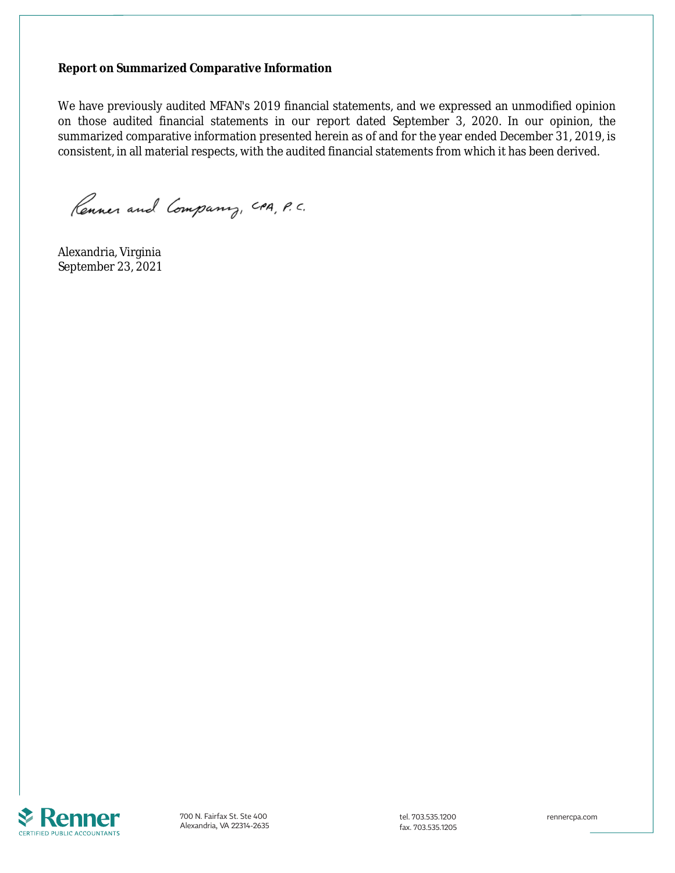# **Report on Summarized Comparative Information**

We have previously audited MFAN's 2019 financial statements, and we expressed an unmodified opinion on those audited financial statements in our report dated September 3, 2020. In our opinion, the summarized comparative information presented herein as of and for the year ended December 31, 2019, is consistent, in all material respects, with the audited financial statements from which it has been derived.

Renner and Company, CPA, P.C.

Alexandria, Virginia September 23, 2021

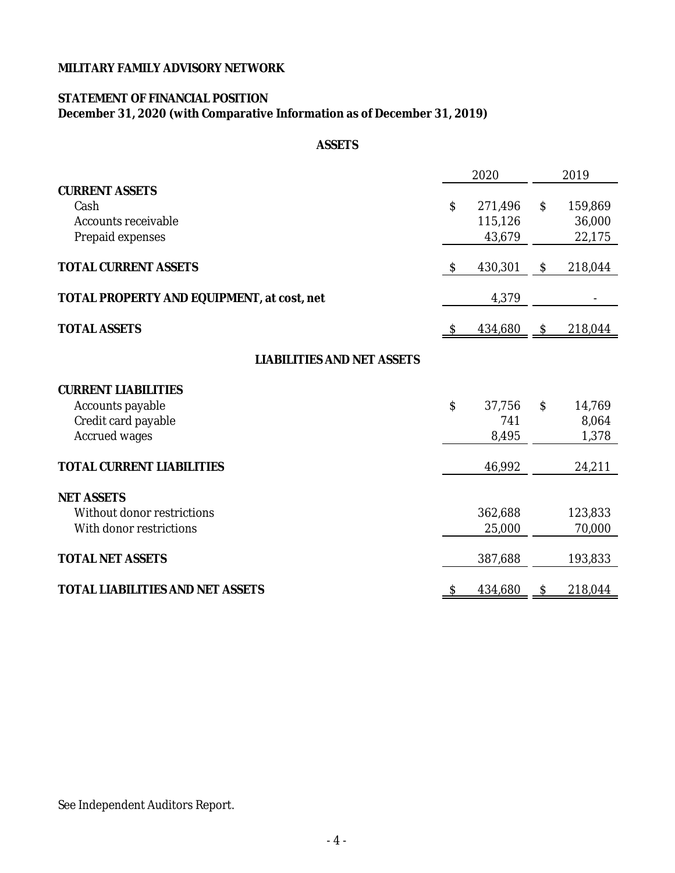# **STATEMENT OF FINANCIAL POSITION**

**December 31, 2020 (with Comparative Information as of December 31, 2019)** 

# **ASSETS**

|                                                                                        |    | 2020                         | 2019                      |                             |  |
|----------------------------------------------------------------------------------------|----|------------------------------|---------------------------|-----------------------------|--|
| <b>CURRENT ASSETS</b><br>Cash<br>Accounts receivable<br>Prepaid expenses               | \$ | 271,496<br>115,126<br>43,679 | $\boldsymbol{\mathsf{S}}$ | 159,869<br>36,000<br>22,175 |  |
| <b>TOTAL CURRENT ASSETS</b>                                                            | \$ | 430,301                      | \$                        | 218,044                     |  |
| TOTAL PROPERTY AND EQUIPMENT, at cost, net                                             |    | 4,379                        |                           |                             |  |
| <b>TOTAL ASSETS</b>                                                                    | \$ | 434,680                      | \$                        | 218,044                     |  |
| <b>LIABILITIES AND NET ASSETS</b>                                                      |    |                              |                           |                             |  |
| <b>CURRENT LIABILITIES</b><br>Accounts payable<br>Credit card payable<br>Accrued wages | \$ | 37,756<br>741<br>8,495       | $\boldsymbol{\mathsf{S}}$ | 14,769<br>8,064<br>1,378    |  |
| <b>TOTAL CURRENT LIABILITIES</b>                                                       |    | 46,992                       |                           | 24,211                      |  |
| <b>NET ASSETS</b><br>Without donor restrictions<br>With donor restrictions             |    | 362,688<br>25,000            |                           | 123,833<br>70,000           |  |
| <b>TOTAL NET ASSETS</b>                                                                |    | 387,688                      |                           | 193,833                     |  |
| <b>TOTAL LIABILITIES AND NET ASSETS</b>                                                | \$ | 434,680                      | \$                        | 218,044                     |  |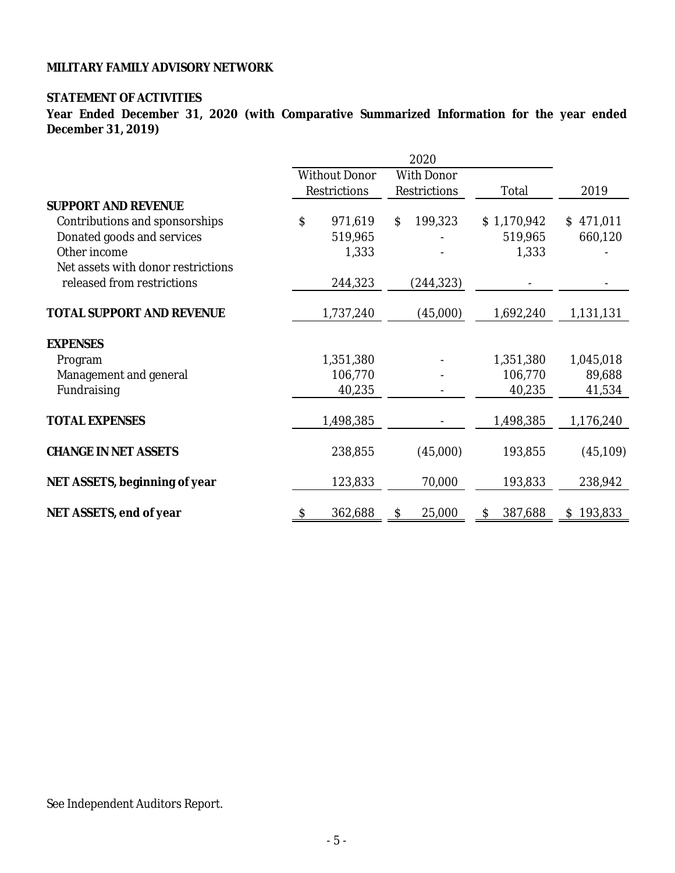# **STATEMENT OF ACTIVITIES**

**Year Ended December 31, 2020 (with Comparative Summarized Information for the year ended December 31, 2019)**

|                                    | 2020          |          |              |               |               |  |  |
|------------------------------------|---------------|----------|--------------|---------------|---------------|--|--|
|                                    | Without Donor |          | With Donor   |               |               |  |  |
|                                    | Restrictions  |          | Restrictions | Total         | 2019          |  |  |
| <b>SUPPORT AND REVENUE</b>         |               |          |              |               |               |  |  |
| Contributions and sponsorships     | \$<br>971,619 | \$       | 199,323      | \$1,170,942   | 471,011<br>\$ |  |  |
| Donated goods and services         | 519,965       |          |              | 519,965       | 660,120       |  |  |
| Other income                       | 1,333         |          |              | 1,333         |               |  |  |
| Net assets with donor restrictions |               |          |              |               |               |  |  |
| released from restrictions         | 244,323       |          | (244,323)    |               |               |  |  |
|                                    |               |          |              |               |               |  |  |
| <b>TOTAL SUPPORT AND REVENUE</b>   | 1,737,240     | (45,000) |              | 1,692,240     | 1,131,131     |  |  |
| <b>EXPENSES</b>                    |               |          |              |               |               |  |  |
| Program                            | 1,351,380     |          |              | 1,351,380     | 1,045,018     |  |  |
| Management and general             | 106,770       |          |              | 106,770       | 89,688        |  |  |
| Fundraising                        | 40,235        |          |              | 40,235        | 41,534        |  |  |
|                                    |               |          |              |               |               |  |  |
| <b>TOTAL EXPENSES</b>              | 1,498,385     |          |              | 1,498,385     | 1,176,240     |  |  |
| <b>CHANGE IN NET ASSETS</b>        | 238,855       |          | (45,000)     | 193,855       | (45, 109)     |  |  |
| NET ASSETS, beginning of year      | 123,833       |          | 70,000       | 193,833       | 238,942       |  |  |
| NET ASSETS, end of year            | \$<br>362,688 | \$       | 25,000       | 387,688<br>\$ | \$193,833     |  |  |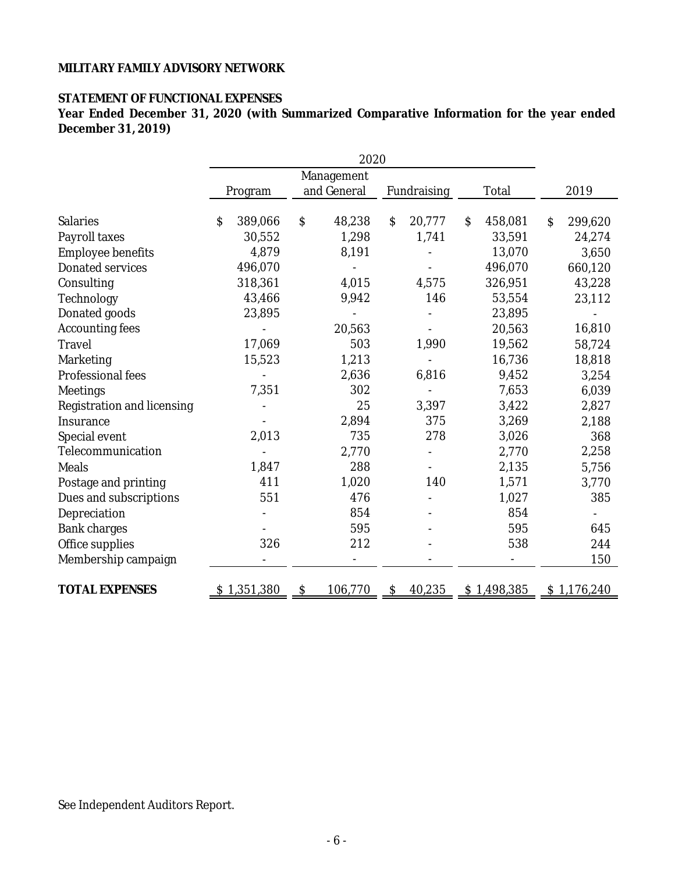# **STATEMENT OF FUNCTIONAL EXPENSES**

**Year Ended December 31, 2020 (with Summarized Comparative Information for the year ended December 31, 2019)**

| 2020                       |    |             |    |             |             |        |       |             |               |
|----------------------------|----|-------------|----|-------------|-------------|--------|-------|-------------|---------------|
|                            |    |             |    | Management  |             |        |       |             |               |
|                            |    | Program     |    | and General | Fundraising |        | Total |             | 2019          |
|                            |    |             |    |             |             |        |       |             |               |
| Salaries                   | \$ | 389,066     | \$ | 48,238      | \$          | 20,777 | \$    | 458,081     | \$<br>299,620 |
| Payroll taxes              |    | 30,552      |    | 1,298       |             | 1,741  |       | 33,591      | 24,274        |
| Employee benefits          |    | 4,879       |    | 8,191       |             |        |       | 13,070      | 3,650         |
| Donated services           |    | 496,070     |    |             |             |        |       | 496,070     | 660,120       |
| Consulting                 |    | 318,361     |    | 4,015       |             | 4,575  |       | 326,951     | 43,228        |
| Technology                 |    | 43,466      |    | 9,942       |             | 146    |       | 53,554      | 23,112        |
| Donated goods              |    | 23,895      |    |             |             |        |       | 23,895      |               |
| Accounting fees            |    |             |    | 20,563      |             |        |       | 20,563      | 16,810        |
| Travel                     |    | 17,069      |    | 503         |             | 1,990  |       | 19,562      | 58,724        |
| Marketing                  |    | 15,523      |    | 1,213       |             |        |       | 16,736      | 18,818        |
| Professional fees          |    |             |    | 2,636       |             | 6,816  |       | 9,452       | 3,254         |
| Meetings                   |    | 7,351       |    | 302         |             |        |       | 7,653       | 6,039         |
| Registration and licensing |    |             |    | 25          |             | 3,397  |       | 3,422       | 2,827         |
| Insurance                  |    |             |    | 2,894       |             | 375    |       | 3,269       | 2,188         |
| Special event              |    | 2,013       |    | 735         |             | 278    |       | 3,026       | 368           |
| Telecommunication          |    |             |    | 2,770       |             |        |       | 2,770       | 2,258         |
| Meals                      |    | 1,847       |    | 288         |             |        |       | 2,135       | 5,756         |
| Postage and printing       |    | 411         |    | 1,020       |             | 140    |       | 1,571       | 3,770         |
| Dues and subscriptions     |    | 551         |    | 476         |             |        |       | 1,027       | 385           |
| Depreciation               |    |             |    | 854         |             |        |       | 854         |               |
| Bank charges               |    |             |    | 595         |             |        |       | 595         | 645           |
| Office supplies            |    | 326         |    | 212         |             |        |       | 538         | 244           |
| Membership campaign        |    |             |    |             |             |        |       |             | 150           |
| <b>TOTAL EXPENSES</b>      |    | \$1,351,380 | \$ | 106,770     | \$          | 40,235 |       | \$1,498,385 | \$1,176,240   |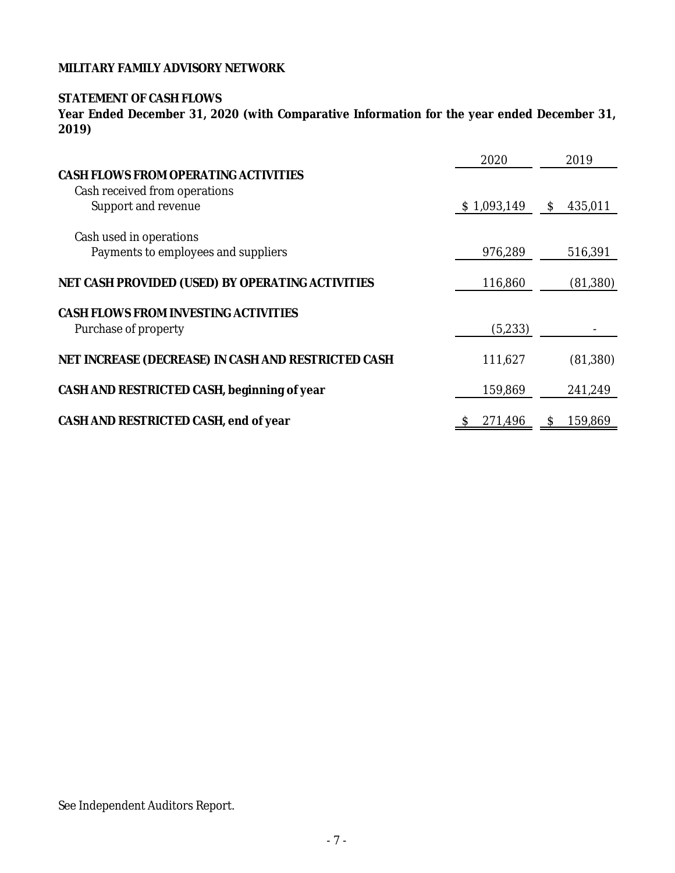# **STATEMENT OF CASH FLOWS**

**Year Ended December 31, 2020 (with Comparative Information for the year ended December 31, 2019)**

|                                                                                              | 2020        | 2019          |
|----------------------------------------------------------------------------------------------|-------------|---------------|
| CASH FLOWS FROM OPERATING ACTIVITIES<br>Cash received from operations<br>Support and revenue | \$1,093,149 | 435,011<br>\$ |
| Cash used in operations<br>Payments to employees and suppliers                               | 976,289     | 516,391       |
| NET CASH PROVIDED (USED) BY OPERATING ACTIVITIES                                             | 116,860     | (81, 380)     |
| CASH FLOWS FROM INVESTING ACTIVITIES<br>Purchase of property                                 | (5,233)     |               |
| NET INCREASE (DECREASE) IN CASH AND RESTRICTED CASH                                          | 111,627     | (81, 380)     |
| CASH AND RESTRICTED CASH, beginning of year                                                  | 159,869     | 241,249       |
| CASH AND RESTRICTED CASH, end of year                                                        | 271,496     | 159,869       |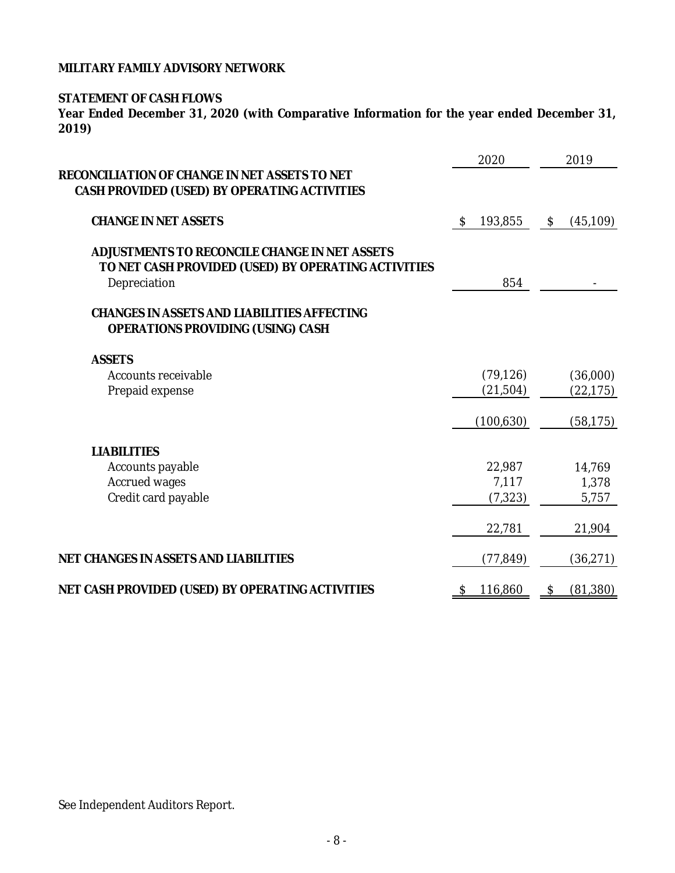# **STATEMENT OF CASH FLOWS**

**Year Ended December 31, 2020 (with Comparative Information for the year ended December 31, 2019)**

|                                                                                                                      | 2020                   |    | 2019                  |
|----------------------------------------------------------------------------------------------------------------------|------------------------|----|-----------------------|
| RECONCILIATION OF CHANGE IN NET ASSETS TO NET<br>CASH PROVIDED (USED) BY OPERATING ACTIVITIES                        |                        |    |                       |
| <b>CHANGE IN NET ASSETS</b>                                                                                          | \$<br>193,855          | \$ | (45, 109)             |
| ADJUSTMENTS TO RECONCILE CHANGE IN NET ASSETS<br>TO NET CASH PROVIDED (USED) BY OPERATING ACTIVITIES<br>Depreciation | 854                    |    |                       |
| <b>CHANGES IN ASSETS AND LIABILITIES AFFECTING</b><br>OPERATIONS PROVIDING (USING) CASH                              |                        |    |                       |
| <b>ASSETS</b>                                                                                                        |                        |    |                       |
| Accounts receivable<br>Prepaid expense                                                                               | (79, 126)<br>(21, 504) |    | (36,000)<br>(22, 175) |
|                                                                                                                      |                        |    |                       |
|                                                                                                                      | (100, 630)             |    | (58,175)              |
| <b>LIABILITIES</b>                                                                                                   |                        |    |                       |
| Accounts payable                                                                                                     | 22,987                 |    | 14,769                |
| Accrued wages                                                                                                        | 7,117                  |    | 1,378                 |
| Credit card payable                                                                                                  | (7, 323)               |    | 5,757                 |
|                                                                                                                      | 22,781                 |    | 21,904                |
| NET CHANGES IN ASSETS AND LIABILITIES                                                                                | (77, 849)              |    | (36,271)              |
| NET CASH PROVIDED (USED) BY OPERATING ACTIVITIES                                                                     | 116,860                | P  | (81, 380)             |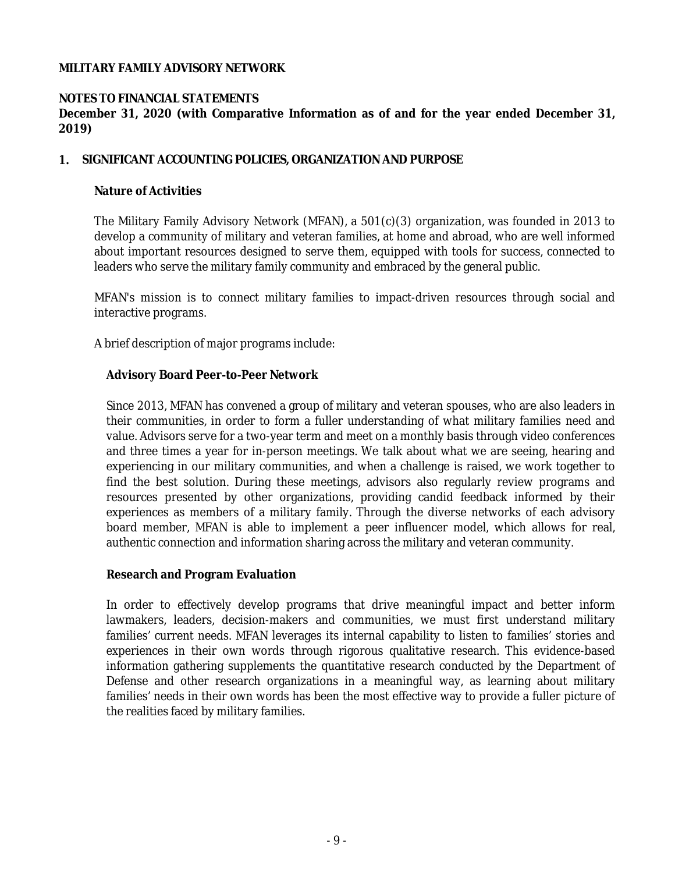### **NOTES TO FINANCIAL STATEMENTS**

**December 31, 2020 (with Comparative Information as of and for the year ended December 31, 2019)**

### **1. SIGNIFICANT ACCOUNTING POLICIES, ORGANIZATION AND PURPOSE**

#### **Nature of Activities**

The Military Family Advisory Network (MFAN), a 501(c)(3) organization, was founded in 2013 to develop a community of military and veteran families, at home and abroad, who are well informed about important resources designed to serve them, equipped with tools for success, connected to leaders who serve the military family community and embraced by the general public.

MFAN's mission is to connect military families to impact-driven resources through social and interactive programs.

A brief description of major programs include:

#### **Advisory Board Peer-to-Peer Network**

Since 2013, MFAN has convened a group of military and veteran spouses, who are also leaders in their communities, in order to form a fuller understanding of what military families need and value. Advisors serve for a two-year term and meet on a monthly basis through video conferences and three times a year for in-person meetings. We talk about what we are seeing, hearing and experiencing in our military communities, and when a challenge is raised, we work together to find the best solution. During these meetings, advisors also regularly review programs and resources presented by other organizations, providing candid feedback informed by their experiences as members of a military family. Through the diverse networks of each advisory board member, MFAN is able to implement a peer influencer model, which allows for real, authentic connection and information sharing across the military and veteran community.

#### **Research and Program Evaluation**

In order to effectively develop programs that drive meaningful impact and better inform lawmakers, leaders, decision-makers and communities, we must first understand military families' current needs. MFAN leverages its internal capability to listen to families' stories and experiences in their own words through rigorous qualitative research. This evidence-based information gathering supplements the quantitative research conducted by the Department of Defense and other research organizations in a meaningful way, as learning about military families' needs in their own words has been the most effective way to provide a fuller picture of the realities faced by military families.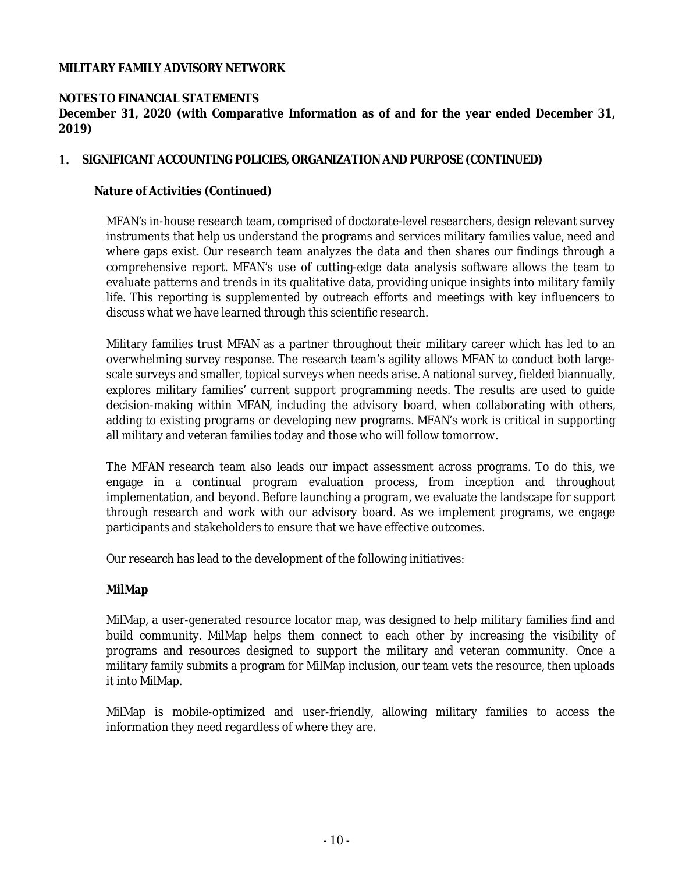# **NOTES TO FINANCIAL STATEMENTS**

**December 31, 2020 (with Comparative Information as of and for the year ended December 31, 2019)**

### **1. SIGNIFICANT ACCOUNTING POLICIES, ORGANIZATION AND PURPOSE (CONTINUED)**

### **Nature of Activities (Continued)**

MFAN's in-house research team, comprised of doctorate-level researchers, design relevant survey instruments that help us understand the programs and services military families value, need and where gaps exist. Our research team analyzes the data and then shares our findings through a comprehensive report. MFAN's use of cutting-edge data analysis software allows the team to evaluate patterns and trends in its qualitative data, providing unique insights into military family life. This reporting is supplemented by outreach efforts and meetings with key influencers to discuss what we have learned through this scientific research.

Military families trust MFAN as a partner throughout their military career which has led to an overwhelming survey response. The research team's agility allows MFAN to conduct both largescale surveys and smaller, topical surveys when needs arise. A national survey, fielded biannually, explores military families' current support programming needs. The results are used to guide decision-making within MFAN, including the advisory board, when collaborating with others, adding to existing programs or developing new programs. MFAN's work is critical in supporting all military and veteran families today and those who will follow tomorrow.

The MFAN research team also leads our impact assessment across programs. To do this, we engage in a continual program evaluation process, from inception and throughout implementation, and beyond. Before launching a program, we evaluate the landscape for support through research and work with our advisory board. As we implement programs, we engage participants and stakeholders to ensure that we have effective outcomes.

Our research has lead to the development of the following initiatives:

#### **MilMap**

MilMap, a user-generated resource locator map, was designed to help military families find and build community. MilMap helps them connect to each other by increasing the visibility of programs and resources designed to support the military and veteran community. Once a military family submits a program for MilMap inclusion, our team vets the resource, then uploads it into MilMap.

MilMap is mobile-optimized and user-friendly, allowing military families to access the information they need regardless of where they are.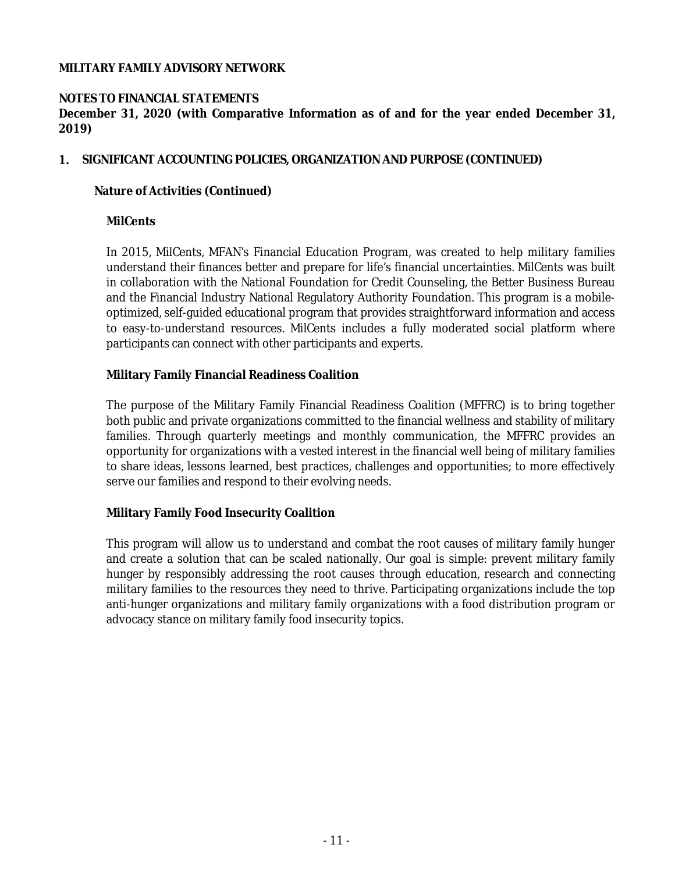### **NOTES TO FINANCIAL STATEMENTS**

**December 31, 2020 (with Comparative Information as of and for the year ended December 31, 2019)**

### **1. SIGNIFICANT ACCOUNTING POLICIES, ORGANIZATION AND PURPOSE (CONTINUED)**

# **Nature of Activities (Continued)**

#### **MilCents**

In 2015, MilCents, MFAN's Financial Education Program, was created to help military families understand their finances better and prepare for life's financial uncertainties. MilCents was built in collaboration with the National Foundation for Credit Counseling, the Better Business Bureau and the Financial Industry National Regulatory Authority Foundation. This program is a mobileoptimized, self-guided educational program that provides straightforward information and access to easy-to-understand resources. MilCents includes a fully moderated social platform where participants can connect with other participants and experts.

#### **Military Family Financial Readiness Coalition**

The purpose of the Military Family Financial Readiness Coalition (MFFRC) is to bring together both public and private organizations committed to the financial wellness and stability of military families. Through quarterly meetings and monthly communication, the MFFRC provides an opportunity for organizations with a vested interest in the financial well being of military families to share ideas, lessons learned, best practices, challenges and opportunities; to more effectively serve our families and respond to their evolving needs.

#### **Military Family Food Insecurity Coalition**

This program will allow us to understand and combat the root causes of military family hunger and create a solution that can be scaled nationally. Our goal is simple: prevent military family hunger by responsibly addressing the root causes through education, research and connecting military families to the resources they need to thrive. Participating organizations include the top anti-hunger organizations and military family organizations with a food distribution program or advocacy stance on military family food insecurity topics.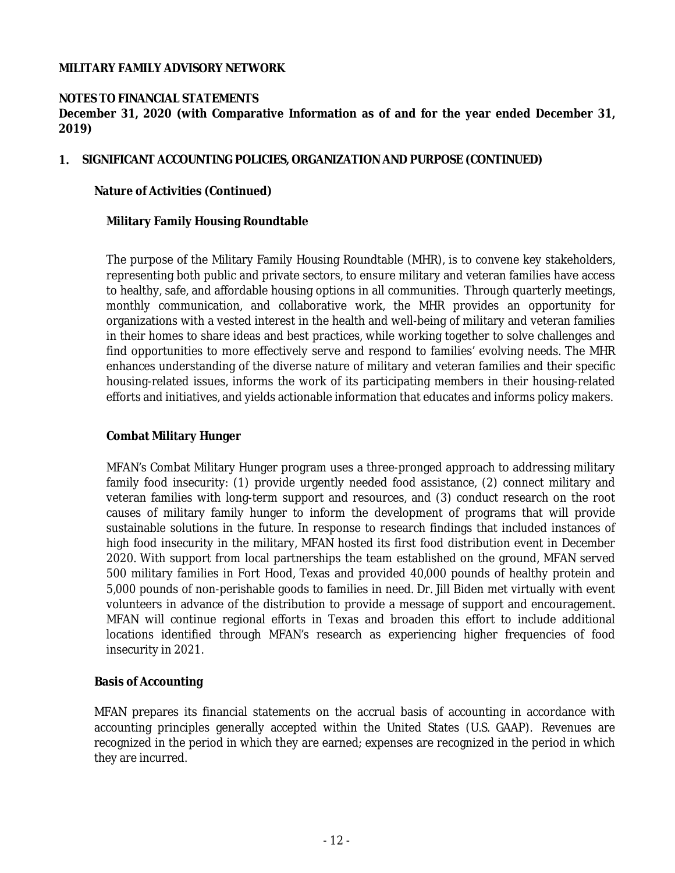# **NOTES TO FINANCIAL STATEMENTS**

**December 31, 2020 (with Comparative Information as of and for the year ended December 31, 2019)**

# **1. SIGNIFICANT ACCOUNTING POLICIES, ORGANIZATION AND PURPOSE (CONTINUED)**

**Nature of Activities (Continued)**

# **Military Family Housing Roundtable**

The purpose of the Military Family Housing Roundtable (MHR), is to convene key stakeholders, representing both public and private sectors, to ensure military and veteran families have access to healthy, safe, and affordable housing options in all communities. Through quarterly meetings, monthly communication, and collaborative work, the MHR provides an opportunity for organizations with a vested interest in the health and well-being of military and veteran families in their homes to share ideas and best practices, while working together to solve challenges and find opportunities to more effectively serve and respond to families' evolving needs. The MHR enhances understanding of the diverse nature of military and veteran families and their specific housing-related issues, informs the work of its participating members in their housing-related efforts and initiatives, and yields actionable information that educates and informs policy makers.

### **Combat Military Hunger**

MFAN's Combat Military Hunger program uses a three-pronged approach to addressing military family food insecurity: (1) provide urgently needed food assistance, (2) connect military and veteran families with long-term support and resources, and (3) conduct research on the root causes of military family hunger to inform the development of programs that will provide sustainable solutions in the future. In response to research findings that included instances of high food insecurity in the military, MFAN hosted its first food distribution event in December 2020. With support from local partnerships the team established on the ground, MFAN served 500 military families in Fort Hood, Texas and provided 40,000 pounds of healthy protein and 5,000 pounds of non-perishable goods to families in need. Dr. Jill Biden met virtually with event volunteers in advance of the distribution to provide a message of support and encouragement. MFAN will continue regional efforts in Texas and broaden this effort to include additional locations identified through MFAN's research as experiencing higher frequencies of food insecurity in 2021.

#### **Basis of Accounting**

MFAN prepares its financial statements on the accrual basis of accounting in accordance with accounting principles generally accepted within the United States (U.S. GAAP). Revenues are recognized in the period in which they are earned; expenses are recognized in the period in which they are incurred.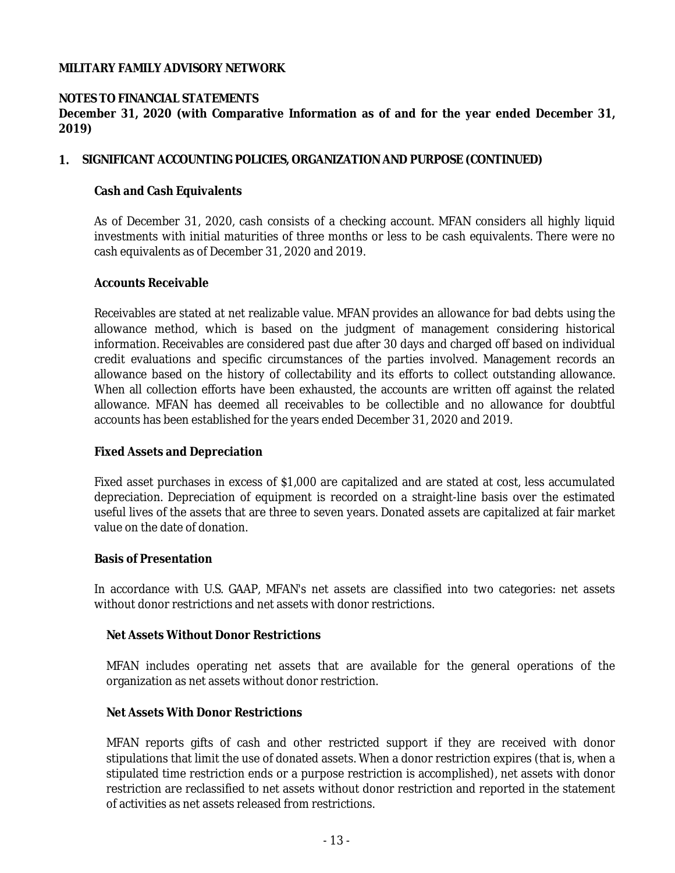### **NOTES TO FINANCIAL STATEMENTS**

**December 31, 2020 (with Comparative Information as of and for the year ended December 31, 2019)**

### **1. SIGNIFICANT ACCOUNTING POLICIES, ORGANIZATION AND PURPOSE (CONTINUED)**

#### **Cash and Cash Equivalents**

As of December 31, 2020, cash consists of a checking account. MFAN considers all highly liquid investments with initial maturities of three months or less to be cash equivalents. There were no cash equivalents as of December 31, 2020 and 2019.

#### **Accounts Receivable**

Receivables are stated at net realizable value. MFAN provides an allowance for bad debts using the allowance method, which is based on the judgment of management considering historical information. Receivables are considered past due after 30 days and charged off based on individual credit evaluations and specific circumstances of the parties involved. Management records an allowance based on the history of collectability and its efforts to collect outstanding allowance. When all collection efforts have been exhausted, the accounts are written off against the related allowance. MFAN has deemed all receivables to be collectible and no allowance for doubtful accounts has been established for the years ended December 31, 2020 and 2019.

#### **Fixed Assets and Depreciation**

Fixed asset purchases in excess of \$1,000 are capitalized and are stated at cost, less accumulated depreciation. Depreciation of equipment is recorded on a straight-line basis over the estimated useful lives of the assets that are three to seven years. Donated assets are capitalized at fair market value on the date of donation.

#### **Basis of Presentation**

In accordance with U.S. GAAP, MFAN's net assets are classified into two categories: net assets without donor restrictions and net assets with donor restrictions.

#### **Net Assets Without Donor Restrictions**

MFAN includes operating net assets that are available for the general operations of the organization as net assets without donor restriction.

# **Net Assets With Donor Restrictions**

MFAN reports gifts of cash and other restricted support if they are received with donor stipulations that limit the use of donated assets. When a donor restriction expires (that is, when a stipulated time restriction ends or a purpose restriction is accomplished), net assets with donor restriction are reclassified to net assets without donor restriction and reported in the statement of activities as net assets released from restrictions.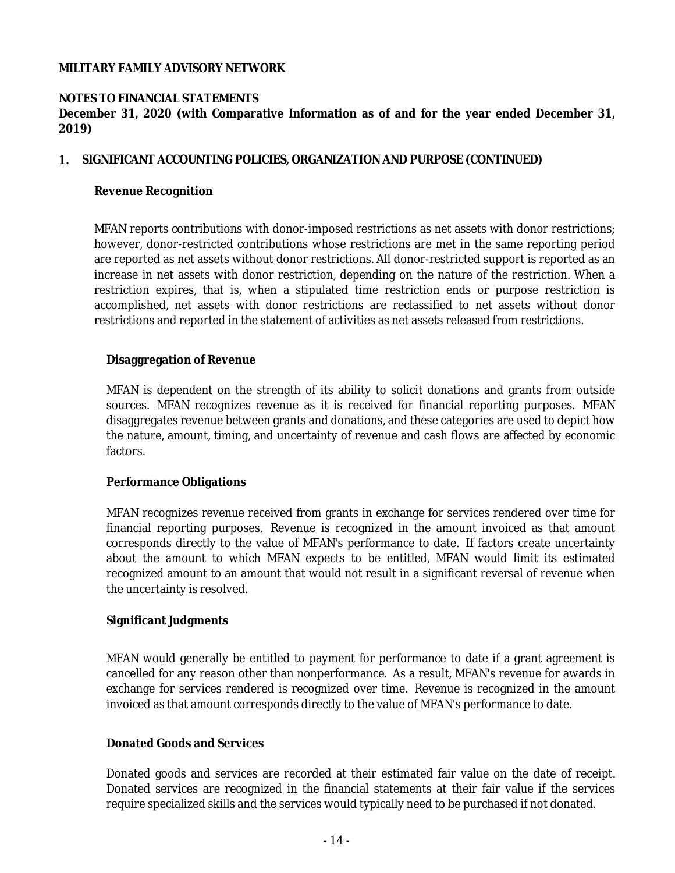# **NOTES TO FINANCIAL STATEMENTS**

**December 31, 2020 (with Comparative Information as of and for the year ended December 31, 2019)**

### **1. SIGNIFICANT ACCOUNTING POLICIES, ORGANIZATION AND PURPOSE (CONTINUED)**

#### **Revenue Recognition**

MFAN reports contributions with donor-imposed restrictions as net assets with donor restrictions; however, donor-restricted contributions whose restrictions are met in the same reporting period are reported as net assets without donor restrictions. All donor-restricted support is reported as an increase in net assets with donor restriction, depending on the nature of the restriction. When a restriction expires, that is, when a stipulated time restriction ends or purpose restriction is accomplished, net assets with donor restrictions are reclassified to net assets without donor restrictions and reported in the statement of activities as net assets released from restrictions.

#### **Disaggregation of Revenue**

MFAN is dependent on the strength of its ability to solicit donations and grants from outside sources. MFAN recognizes revenue as it is received for financial reporting purposes. MFAN disaggregates revenue between grants and donations, and these categories are used to depict how the nature, amount, timing, and uncertainty of revenue and cash flows are affected by economic factors.

#### **Performance Obligations**

MFAN recognizes revenue received from grants in exchange for services rendered over time for financial reporting purposes. Revenue is recognized in the amount invoiced as that amount corresponds directly to the value of MFAN's performance to date. If factors create uncertainty about the amount to which MFAN expects to be entitled, MFAN would limit its estimated recognized amount to an amount that would not result in a significant reversal of revenue when the uncertainty is resolved.

#### **Significant Judgments**

MFAN would generally be entitled to payment for performance to date if a grant agreement is cancelled for any reason other than nonperformance. As a result, MFAN's revenue for awards in exchange for services rendered is recognized over time. Revenue is recognized in the amount invoiced as that amount corresponds directly to the value of MFAN's performance to date.

#### **Donated Goods and Services**

Donated goods and services are recorded at their estimated fair value on the date of receipt. Donated services are recognized in the financial statements at their fair value if the services require specialized skills and the services would typically need to be purchased if not donated.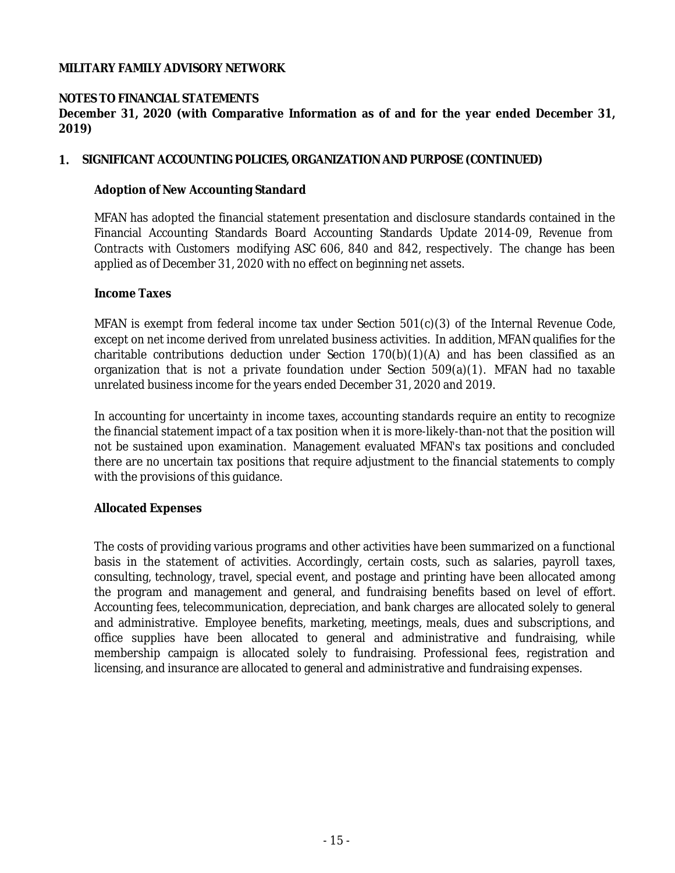### **NOTES TO FINANCIAL STATEMENTS**

**December 31, 2020 (with Comparative Information as of and for the year ended December 31, 2019)**

### **1. SIGNIFICANT ACCOUNTING POLICIES, ORGANIZATION AND PURPOSE (CONTINUED)**

#### **Adoption of New Accounting Standard**

MFAN has adopted the financial statement presentation and disclosure standards contained in the Financial Accounting Standards Board Accounting Standards Update 2014-09, *Revenue from Contracts with Customers* modifying ASC 606, 840 and 842, respectively. The change has been applied as of December 31, 2020 with no effect on beginning net assets.

#### **Income Taxes**

MFAN is exempt from federal income tax under Section 501(c)(3) of the Internal Revenue Code, except on net income derived from unrelated business activities. In addition, MFAN qualifies for the charitable contributions deduction under Section  $170(b)(1)(A)$  and has been classified as an organization that is not a private foundation under Section 509(a)(1). MFAN had no taxable unrelated business income for the years ended December 31, 2020 and 2019.

In accounting for uncertainty in income taxes, accounting standards require an entity to recognize the financial statement impact of a tax position when it is more-likely-than-not that the position will not be sustained upon examination. Management evaluated MFAN's tax positions and concluded there are no uncertain tax positions that require adjustment to the financial statements to comply with the provisions of this guidance.

#### **Allocated Expenses**

The costs of providing various programs and other activities have been summarized on a functional basis in the statement of activities. Accordingly, certain costs, such as salaries, payroll taxes, consulting, technology, travel, special event, and postage and printing have been allocated among the program and management and general, and fundraising benefits based on level of effort. Accounting fees, telecommunication, depreciation, and bank charges are allocated solely to general and administrative. Employee benefits, marketing, meetings, meals, dues and subscriptions, and office supplies have been allocated to general and administrative and fundraising, while membership campaign is allocated solely to fundraising. Professional fees, registration and licensing, and insurance are allocated to general and administrative and fundraising expenses.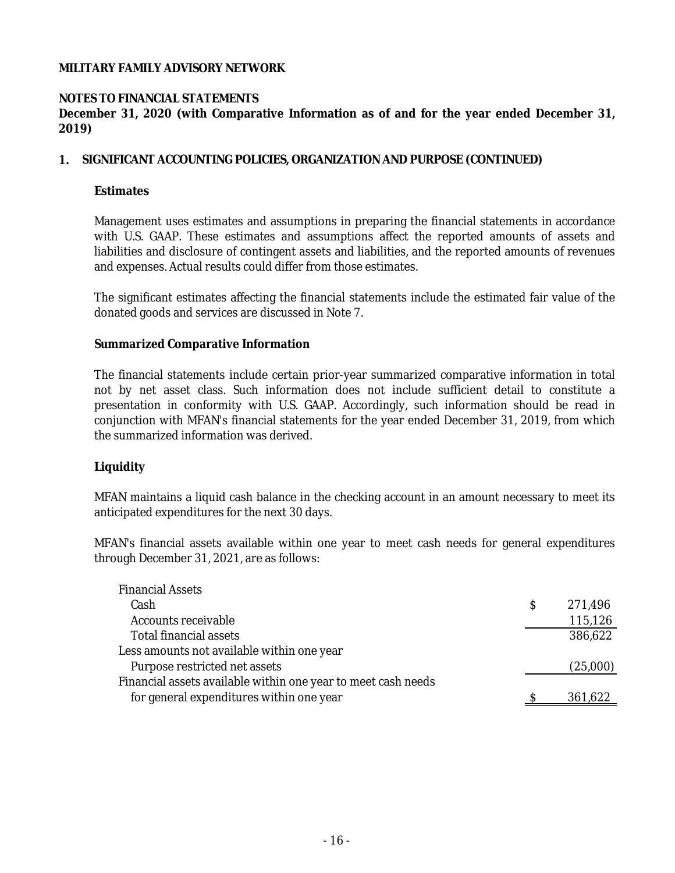# **NOTES TO FINANCIAL STATEMENTS**

**December 31, 2020 (with Comparative Information as of and for the year ended December 31, 2019)**

### **1. SIGNIFICANT ACCOUNTING POLICIES, ORGANIZATION AND PURPOSE (CONTINUED)**

### **Estimates**

Management uses estimates and assumptions in preparing the financial statements in accordance with U.S. GAAP. These estimates and assumptions affect the reported amounts of assets and liabilities and disclosure of contingent assets and liabilities, and the reported amounts of revenues and expenses. Actual results could differ from those estimates.

The significant estimates affecting the financial statements include the estimated fair value of the donated goods and services are discussed in Note 7.

# **Summarized Comparative Information**

The financial statements include certain prior-year summarized comparative information in total not by net asset class. Such information does not include sufficient detail to constitute a presentation in conformity with U.S. GAAP. Accordingly, such information should be read in conjunction with MFAN's financial statements for the year ended December 31, 2019, from which the summarized information was derived.

# **Liquidity**

MFAN maintains a liquid cash balance in the checking account in an amount necessary to meet its anticipated expenditures for the next 30 days.

MFAN's financial assets available within one year to meet cash needs for general expenditures through December 31, 2021, are as follows:

| <b>Financial Assets</b>                                       |               |
|---------------------------------------------------------------|---------------|
| Cash                                                          | \$<br>271,496 |
| Accounts receivable                                           | 115,126       |
| Total financial assets                                        | 386,622       |
| Less amounts not available within one year                    |               |
| Purpose restricted net assets                                 | (25,000)      |
| Financial assets available within one year to meet cash needs |               |
| for general expenditures within one year                      | 361,622       |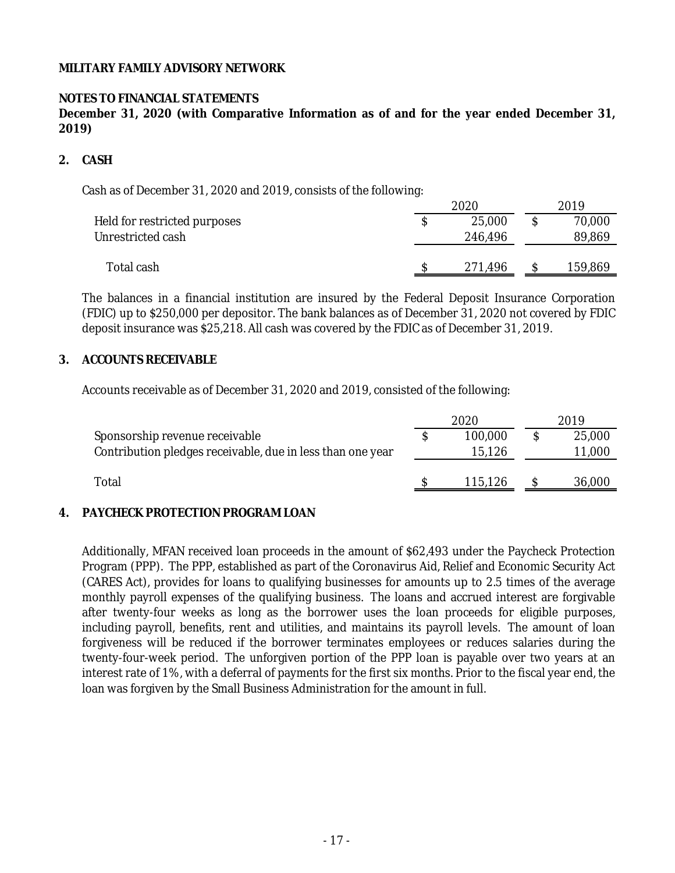### **NOTES TO FINANCIAL STATEMENTS**

**December 31, 2020 (with Comparative Information as of and for the year ended December 31, 2019)**

**2. CASH**

Cash as of December 31, 2020 and 2019, consists of the following:

| 2020 |         |  | 2019    |  |
|------|---------|--|---------|--|
|      | 25.000  |  | 70,000  |  |
|      | 246,496 |  | 89,869  |  |
|      |         |  |         |  |
|      | 271.496 |  | 159,869 |  |
|      |         |  |         |  |

The balances in a financial institution are insured by the Federal Deposit Insurance Corporation (FDIC) up to \$250,000 per depositor. The bank balances as of December 31, 2020 not covered by FDIC deposit insurance was \$25,218. All cash was covered by the FDIC as of December 31, 2019.

### **3. ACCOUNTS RECEIVABLE**

Accounts receivable as of December 31, 2020 and 2019, consisted of the following:

|                                                            | 2020    | 2019 |        |  |
|------------------------------------------------------------|---------|------|--------|--|
| Sponsorship revenue receivable                             | 100,000 |      | 25,000 |  |
| Contribution pledges receivable, due in less than one year | 15,126  |      | 11,000 |  |
|                                                            |         |      |        |  |
| Total                                                      | 115.126 |      | 36,000 |  |
|                                                            |         |      |        |  |

# **4. PAYCHECK PROTECTION PROGRAM LOAN**

Additionally, MFAN received loan proceeds in the amount of \$62,493 under the Paycheck Protection Program (PPP). The PPP, established as part of the Coronavirus Aid, Relief and Economic Security Act (CARES Act), provides for loans to qualifying businesses for amounts up to 2.5 times of the average monthly payroll expenses of the qualifying business. The loans and accrued interest are forgivable after twenty-four weeks as long as the borrower uses the loan proceeds for eligible purposes, including payroll, benefits, rent and utilities, and maintains its payroll levels. The amount of loan forgiveness will be reduced if the borrower terminates employees or reduces salaries during the twenty-four-week period. The unforgiven portion of the PPP loan is payable over two years at an interest rate of 1%, with a deferral of payments for the first six months. Prior to the fiscal year end, the loan was forgiven by the Small Business Administration for the amount in full.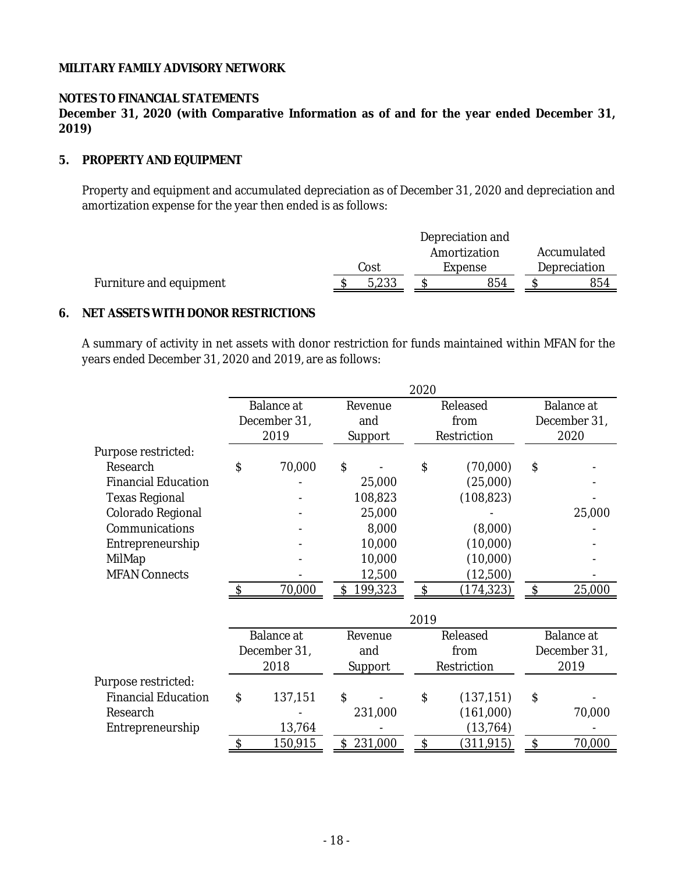# **NOTES TO FINANCIAL STATEMENTS**

**December 31, 2020 (with Comparative Information as of and for the year ended December 31, 2019)**

# **5. PROPERTY AND EQUIPMENT**

Property and equipment and accumulated depreciation as of December 31, 2020 and depreciation and amortization expense for the year then ended is as follows:

| Depreciation and |       |         |     |              |     |
|------------------|-------|---------|-----|--------------|-----|
|                  |       |         |     | Accumulated  |     |
| Cost             |       | Expense |     | Depreciation |     |
|                  | 5,233 |         | 854 |              | 854 |
|                  |       |         |     | Amortization |     |

#### **6. NET ASSETS WITH DONOR RESTRICTIONS**

A summary of activity in net assets with donor restriction for funds maintained within MFAN for the years ended December 31, 2020 and 2019, are as follows:

|                            | 2020          |     |         |      |             |    |              |  |      |  |              |
|----------------------------|---------------|-----|---------|------|-------------|----|--------------|--|------|--|--------------|
|                            | Balance at    |     | Revenue |      | Released    |    | Balance at   |  |      |  |              |
|                            | December 31,  | and |         |      | from        |    | December 31, |  |      |  |              |
|                            | 2019          |     | Support |      | Restriction |    | 2020         |  |      |  |              |
| Purpose restricted:        |               |     |         |      |             |    |              |  |      |  |              |
| Research                   | \$<br>70,000  | \$  |         | \$   | (70,000)    | \$ |              |  |      |  |              |
| <b>Financial Education</b> |               |     | 25,000  |      | (25,000)    |    |              |  |      |  |              |
| <b>Texas Regional</b>      |               |     | 108,823 |      | (108, 823)  |    |              |  |      |  |              |
| Colorado Regional          |               |     | 25,000  |      |             |    | 25,000       |  |      |  |              |
| Communications             |               |     | 8,000   |      | (8,000)     |    |              |  |      |  |              |
| Entrepreneurship           |               |     | 10,000  |      | (10,000)    |    |              |  |      |  |              |
| MilMap                     |               |     | 10,000  |      | (10,000)    |    |              |  |      |  |              |
| <b>MFAN Connects</b>       |               |     | 12,500  |      | (12,500)    |    |              |  |      |  |              |
|                            | 70,000        | \$  | 199,323 |      | (174, 323)  |    | 25,000       |  |      |  |              |
|                            |               |     |         |      |             |    |              |  |      |  |              |
|                            |               |     |         | 2019 |             |    |              |  |      |  |              |
|                            | Balance at    |     | Revenue |      | Released    |    | Balance at   |  |      |  |              |
|                            | December 31,  |     | and     |      | from        |    |              |  |      |  | December 31, |
|                            | 2018          |     | Support |      |             |    | Restriction  |  | 2019 |  |              |
| Purpose restricted:        |               |     |         |      |             |    |              |  |      |  |              |
| <b>Financial Education</b> | \$<br>137,151 | \$  |         | \$   | (137, 151)  | \$ |              |  |      |  |              |
| Research                   |               |     | 231,000 |      | (161,000)   |    | 70,000       |  |      |  |              |
| Entrepreneurship           | 13,764        |     |         |      | (13, 764)   |    |              |  |      |  |              |
|                            | \$<br>150,915 | \$  | 231,000 | \$   | (311, 915)  | \$ | 70,000       |  |      |  |              |